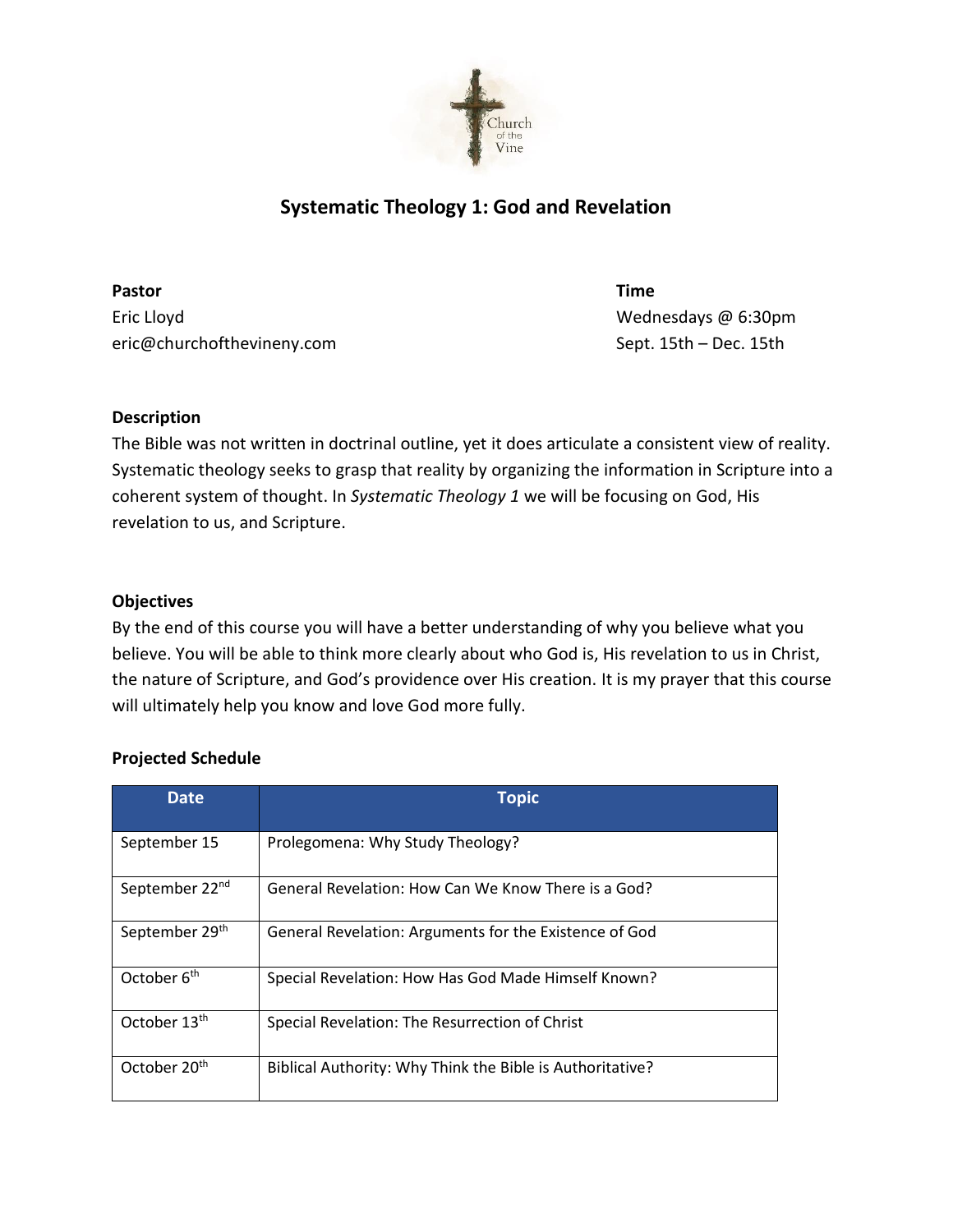

# **Systematic Theology 1: God and Revelation**

**Pastor Time**  Eric Lloyd Wednesdays @ 6:30pm eric@churchofthevineny.com Sept. 15th – Dec. 15th

## **Description**

The Bible was not written in doctrinal outline, yet it does articulate a consistent view of reality. Systematic theology seeks to grasp that reality by organizing the information in Scripture into a coherent system of thought. In *Systematic Theology 1* we will be focusing on God, His revelation to us, and Scripture.

### **Objectives**

By the end of this course you will have a better understanding of why you believe what you believe. You will be able to think more clearly about who God is, His revelation to us in Christ, the nature of Scripture, and God's providence over His creation. It is my prayer that this course will ultimately help you know and love God more fully.

#### **Projected Schedule**

| Date                       | <b>Topic</b>                                              |
|----------------------------|-----------------------------------------------------------|
| September 15               | Prolegomena: Why Study Theology?                          |
| September 22 <sup>nd</sup> | General Revelation: How Can We Know There is a God?       |
| September 29th             | General Revelation: Arguments for the Existence of God    |
| October 6 <sup>th</sup>    | Special Revelation: How Has God Made Himself Known?       |
| October 13th               | Special Revelation: The Resurrection of Christ            |
| October 20 <sup>th</sup>   | Biblical Authority: Why Think the Bible is Authoritative? |